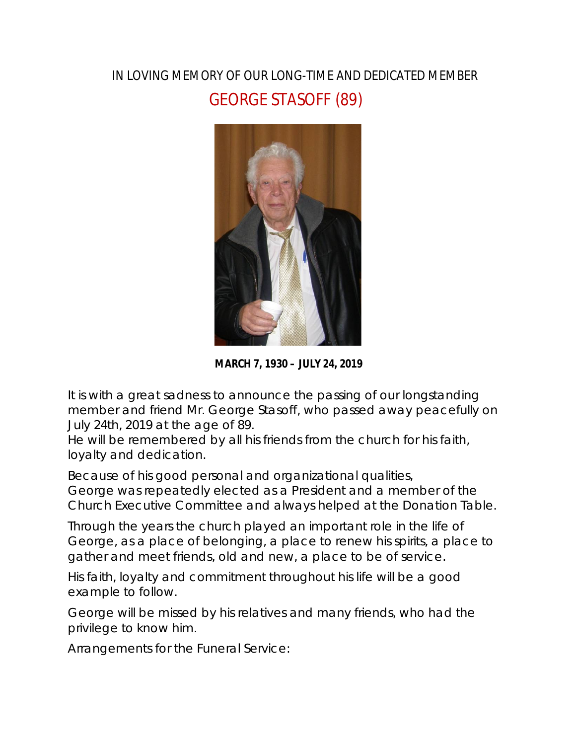## IN LOVING MEMORY OF OUR LONG-TIME AND DEDICATED MEMBER GEORGE STASOFF (89)



**MARCH 7, 1930 – JULY 24, 2019**

It is with a great sadness to announce the passing of our longstanding member and friend Mr. George Stasoff, who passed away peacefully on July 24th, 2019 at the age of 89.

He will be remembered by all his friends from the church for his faith, loyalty and dedication.

Because of his good personal and organizational qualities, George was repeatedly elected as a President and a member of the Church Executive Committee and always helped at the Donation Table.

Through the years the church played an important role in the life of George, as a place of belonging, a place to renew his spirits, a place to gather and meet friends, old and new, a place to be of service.

His faith, loyalty and commitment throughout his life will be a good example to follow.

George will be missed by his relatives and many friends, who had the privilege to know him.

Arrangements for the Funeral Service: